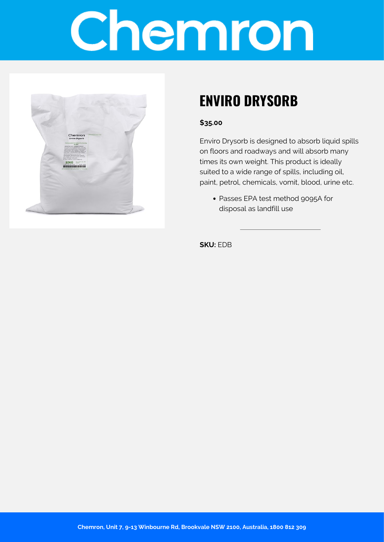# Chemron



## **ENVIRO DRYSORB**

#### **\$35.00**

Enviro Drysorb is designed to absorb liquid spills on floors and roadways and will absorb many times its own weight. This product is ideally suited to a wide range of spills, including oil, paint, petrol, chemicals, vomit, blood, urine etc.

Passes EPA test method 9095A for disposal as landfill use

**SKU:** EDB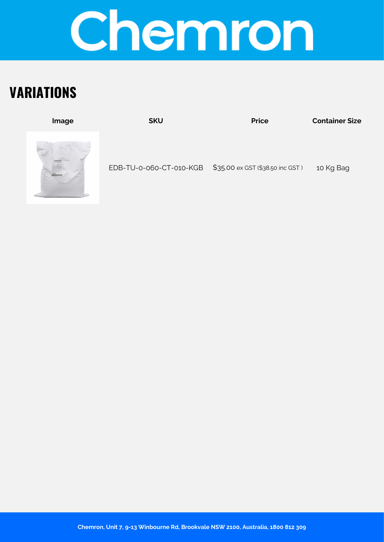

## **VARIATIONS**

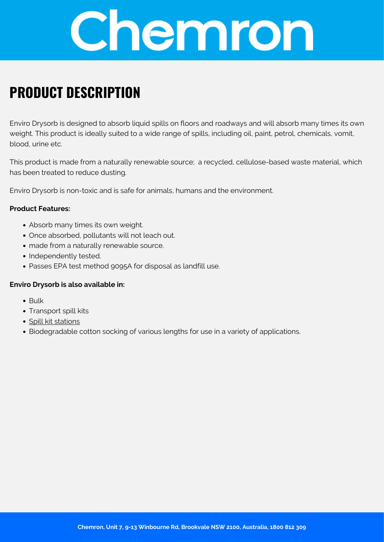

### **PRODUCT DESCRIPTION**

Enviro Drysorb is designed to absorb liquid spills on floors and roadways and will absorb many times its own weight. This product is ideally suited to a wide range of spills, including oil, paint, petrol, chemicals, vomit, blood, urine etc.

This product is made from a naturally renewable source; a recycled, cellulose-based waste material, which has been treated to reduce dusting.

Enviro Drysorb is non-toxic and is safe for animals, humans and the environment.

#### **Product Features:**

- Absorb many times its own weight.
- Once absorbed, pollutants will not leach out.
- made from a naturally renewable source.
- Independently tested.
- Passes EPA test method 9095A for disposal as landfill use.

#### **Enviro Drysorb is also available in:**

- Bulk
- Transport spill kits
- [Spill kit stations](https://chemron.com.au/shop/safety/spill-response-kit/)
- Biodegradable cotton socking of various lengths for use in a variety of applications.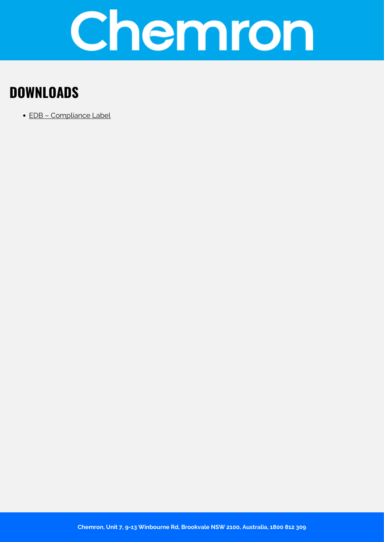

## **DOWNLOADS**

[EDB – Compliance Label](https://chemron.com.au/product-label/EDB - Compliance Label.pdf)